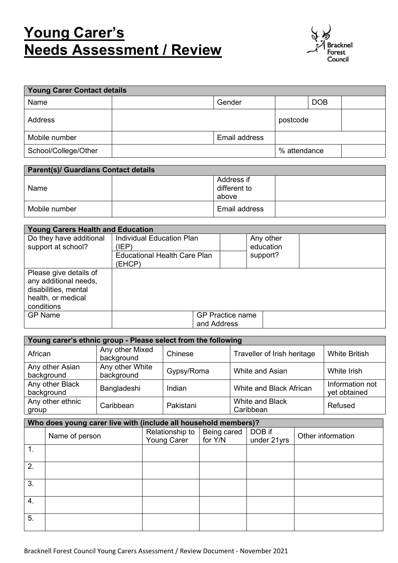# **Young Carer's Needs Assessment / Review**



| <b>Young Carer Contact details</b> |               |              |            |  |
|------------------------------------|---------------|--------------|------------|--|
| Name                               | Gender        |              | <b>DOB</b> |  |
| Address                            |               | postcode     |            |  |
| Mobile number                      | Email address |              |            |  |
| School/College/Other               |               | % attendance |            |  |

| <b>Parent(s)/ Guardians Contact details</b> |  |                                     |  |
|---------------------------------------------|--|-------------------------------------|--|
| Name                                        |  | Address if<br>different to<br>above |  |
| Mobile number                               |  | Email address                       |  |

| <b>Young Carers Health and Education</b> |                                     |                         |  |  |
|------------------------------------------|-------------------------------------|-------------------------|--|--|
| Do they have additional                  | Individual Education Plan           | Any other               |  |  |
| support at school?                       | (IEP)                               | education               |  |  |
|                                          | <b>Educational Health Care Plan</b> | support?                |  |  |
|                                          | (EHCP)                              |                         |  |  |
| Please give details of                   |                                     |                         |  |  |
| any additional needs,                    |                                     |                         |  |  |
| disabilities, mental                     |                                     |                         |  |  |
| health, or medical                       |                                     |                         |  |  |
| conditions                               |                                     |                         |  |  |
| <b>GP Name</b>                           |                                     | <b>GP Practice name</b> |  |  |
|                                          | and Address                         |                         |  |  |

| Young carer's ethnic group - Please select from the following |                               |            |                              |                                 |  |
|---------------------------------------------------------------|-------------------------------|------------|------------------------------|---------------------------------|--|
| African                                                       | Any other Mixed<br>background | Chinese    | Traveller of Irish heritage  | <b>White British</b>            |  |
| Any other Asian<br>background                                 | Any other White<br>background | Gypsy/Roma | White and Asian              | White Irish                     |  |
| Any other Black<br>background                                 | Bangladeshi                   | Indian     | White and Black African      | Information not<br>yet obtained |  |
| Any other ethnic<br>group                                     | Caribbean                     | Pakistani  | White and Black<br>Caribbean | Refused                         |  |

|    | Who does young carer live with (include all household members)? |                                |                        |                       |                   |  |
|----|-----------------------------------------------------------------|--------------------------------|------------------------|-----------------------|-------------------|--|
|    | Name of person                                                  | Relationship to<br>Young Carer | Being cared<br>for Y/N | DOB if<br>under 21yrs | Other information |  |
| 1. |                                                                 |                                |                        |                       |                   |  |
| 2. |                                                                 |                                |                        |                       |                   |  |
| 3. |                                                                 |                                |                        |                       |                   |  |
| 4. |                                                                 |                                |                        |                       |                   |  |
| 5. |                                                                 |                                |                        |                       |                   |  |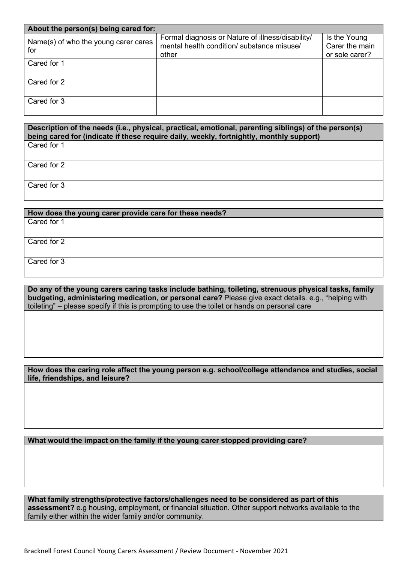| About the person(s) being cared for:        |                                                                                                          |                                                  |  |  |
|---------------------------------------------|----------------------------------------------------------------------------------------------------------|--------------------------------------------------|--|--|
| Name(s) of who the young carer cares<br>for | Formal diagnosis or Nature of illness/disability/<br>mental health condition/ substance misuse/<br>other | Is the Young<br>Carer the main<br>or sole carer? |  |  |
| Cared for 1                                 |                                                                                                          |                                                  |  |  |
| Cared for 2                                 |                                                                                                          |                                                  |  |  |
| Cared for 3                                 |                                                                                                          |                                                  |  |  |

#### **Description of the needs (i.e., physical, practical, emotional, parenting siblings) of the person(s) being cared for (indicate if these require daily, weekly, fortnightly, monthly support)**  Cared for 1

Cared for 2

Cared for 3

## **How does the young carer provide care for these needs?**

Cared for 1

Cared for 2

Cared for 3

**Do any of the young carers caring tasks include bathing, toileting, strenuous physical tasks, family budgeting, administering medication, or personal care?** Please give exact details. e.g., "helping with toileting" – please specify if this is prompting to use the toilet or hands on personal care

**How does the caring role affect the young person e.g. school/college attendance and studies, social life, friendships, and leisure?** 

**What would the impact on the family if the young carer stopped providing care?**

**What family strengths/protective factors/challenges need to be considered as part of this assessment?** e.g housing, employment, or financial situation. Other support networks available to the family either within the wider family and/or community.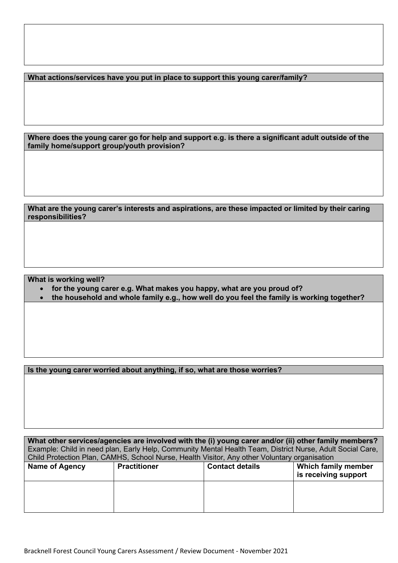**What actions/services have you put in place to support this young carer/family?**

**Where does the young carer go for help and support e.g. is there a significant adult outside of the family home/support group/youth provision?**

### **What are the young carer's interests and aspirations, are these impacted or limited by their caring responsibilities?**

**What is working well?**

- **for the young carer e.g. What makes you happy, what are you proud of?**
- **the household and whole family e.g., how well do you feel the family is working together?**

**Is the young carer worried about anything, if so, what are those worries?** 

**What other services/agencies are involved with the (i) young carer and/or (ii) other family members?** Example: Child in need plan, Early Help, Community Mental Health Team, District Nurse, Adult Social Care, Child Protection Plan, CAMHS, School Nurse, Health Visitor, Any other Voluntary organisation

| <b>Practitioner</b> | <b>Contact details</b> | Which family member<br>is receiving support |
|---------------------|------------------------|---------------------------------------------|
|                     |                        |                                             |
|                     |                        |                                             |